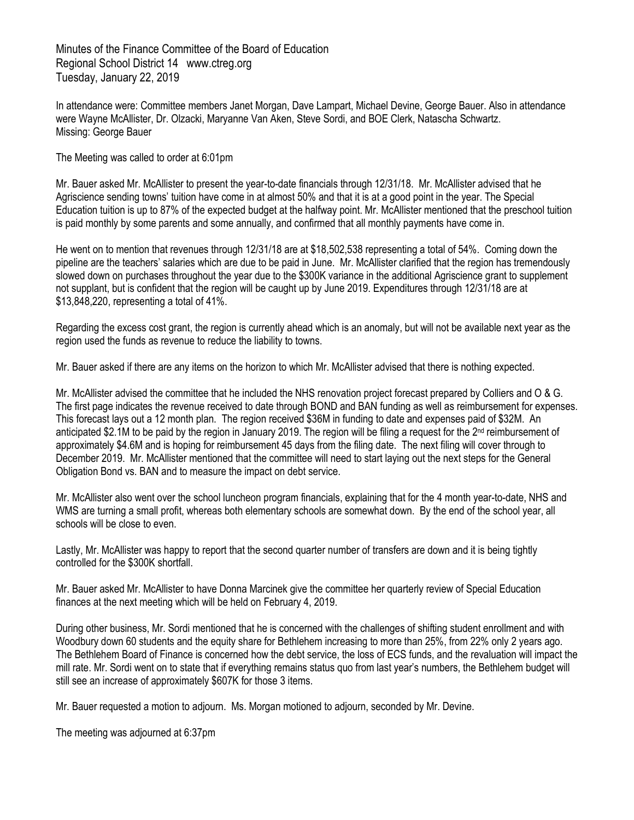Minutes of the Finance Committee of the Board of Education Regional School District 14 www.ctreg.org Tuesday, January 22, 2019

In attendance were: Committee members Janet Morgan, Dave Lampart, Michael Devine, George Bauer. Also in attendance were Wayne McAllister, Dr. Olzacki, Maryanne Van Aken, Steve Sordi, and BOE Clerk, Natascha Schwartz. Missing: George Bauer

The Meeting was called to order at 6:01pm

Mr. Bauer asked Mr. McAllister to present the year-to-date financials through 12/31/18. Mr. McAllister advised that he Agriscience sending towns' tuition have come in at almost 50% and that it is at a good point in the year. The Special Education tuition is up to 87% of the expected budget at the halfway point. Mr. McAllister mentioned that the preschool tuition is paid monthly by some parents and some annually, and confirmed that all monthly payments have come in.

He went on to mention that revenues through 12/31/18 are at \$18,502,538 representing a total of 54%. Coming down the pipeline are the teachers' salaries which are due to be paid in June. Mr. McAllister clarified that the region has tremendously slowed down on purchases throughout the year due to the \$300K variance in the additional Agriscience grant to supplement not supplant, but is confident that the region will be caught up by June 2019. Expenditures through 12/31/18 are at \$13,848,220, representing a total of 41%.

Regarding the excess cost grant, the region is currently ahead which is an anomaly, but will not be available next year as the region used the funds as revenue to reduce the liability to towns.

Mr. Bauer asked if there are any items on the horizon to which Mr. McAllister advised that there is nothing expected.

Mr. McAllister advised the committee that he included the NHS renovation project forecast prepared by Colliers and O & G. The first page indicates the revenue received to date through BOND and BAN funding as well as reimbursement for expenses. This forecast lays out a 12 month plan. The region received \$36M in funding to date and expenses paid of \$32M. An anticipated \$2.1M to be paid by the region in January 2019. The region will be filing a request for the 2<sup>nd</sup> reimbursement of approximately \$4.6M and is hoping for reimbursement 45 days from the filing date. The next filing will cover through to December 2019. Mr. McAllister mentioned that the committee will need to start laying out the next steps for the General Obligation Bond vs. BAN and to measure the impact on debt service.

Mr. McAllister also went over the school luncheon program financials, explaining that for the 4 month year-to-date, NHS and WMS are turning a small profit, whereas both elementary schools are somewhat down. By the end of the school year, all schools will be close to even.

Lastly, Mr. McAllister was happy to report that the second quarter number of transfers are down and it is being tightly controlled for the \$300K shortfall.

Mr. Bauer asked Mr. McAllister to have Donna Marcinek give the committee her quarterly review of Special Education finances at the next meeting which will be held on February 4, 2019.

During other business, Mr. Sordi mentioned that he is concerned with the challenges of shifting student enrollment and with Woodbury down 60 students and the equity share for Bethlehem increasing to more than 25%, from 22% only 2 years ago. The Bethlehem Board of Finance is concerned how the debt service, the loss of ECS funds, and the revaluation will impact the mill rate. Mr. Sordi went on to state that if everything remains status quo from last year's numbers, the Bethlehem budget will still see an increase of approximately \$607K for those 3 items.

Mr. Bauer requested a motion to adjourn. Ms. Morgan motioned to adjourn, seconded by Mr. Devine.

The meeting was adjourned at 6:37pm